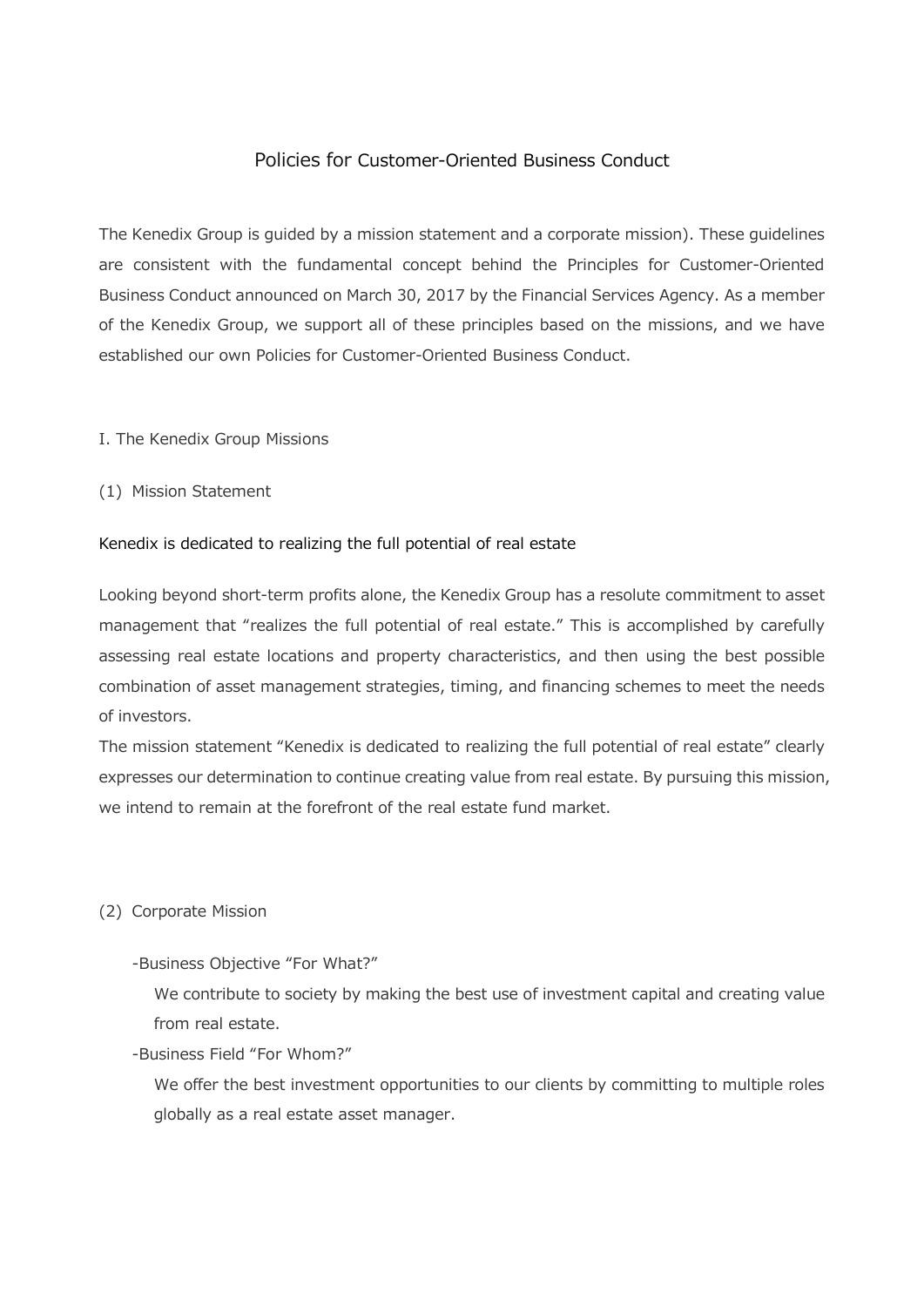# Policies for Customer-Oriented Business Conduct

The Kenedix Group is guided by a mission statement and a corporate mission). These guidelines are consistent with the fundamental concept behind the Principles for Customer-Oriented Business Conduct announced on March 30, 2017 by the Financial Services Agency. As a member of the Kenedix Group, we support all of these principles based on the missions, and we have established our own Policies for Customer-Oriented Business Conduct.

### I. The Kenedix Group Missions

(1) Mission Statement

### Kenedix is dedicated to realizing the full potential of real estate

Looking beyond short-term profits alone, the Kenedix Group has a resolute commitment to asset management that "realizes the full potential of real estate." This is accomplished by carefully assessing real estate locations and property characteristics, and then using the best possible combination of asset management strategies, timing, and financing schemes to meet the needs of investors.

The mission statement "Kenedix is dedicated to realizing the full potential of real estate" clearly expresses our determination to continue creating value from real estate. By pursuing this mission, we intend to remain at the forefront of the real estate fund market.

#### (2) Corporate Mission

#### -Business Objective "For What?"

We contribute to society by making the best use of investment capital and creating value from real estate.

-Business Field "For Whom?"

We offer the best investment opportunities to our clients by committing to multiple roles globally as a real estate asset manager.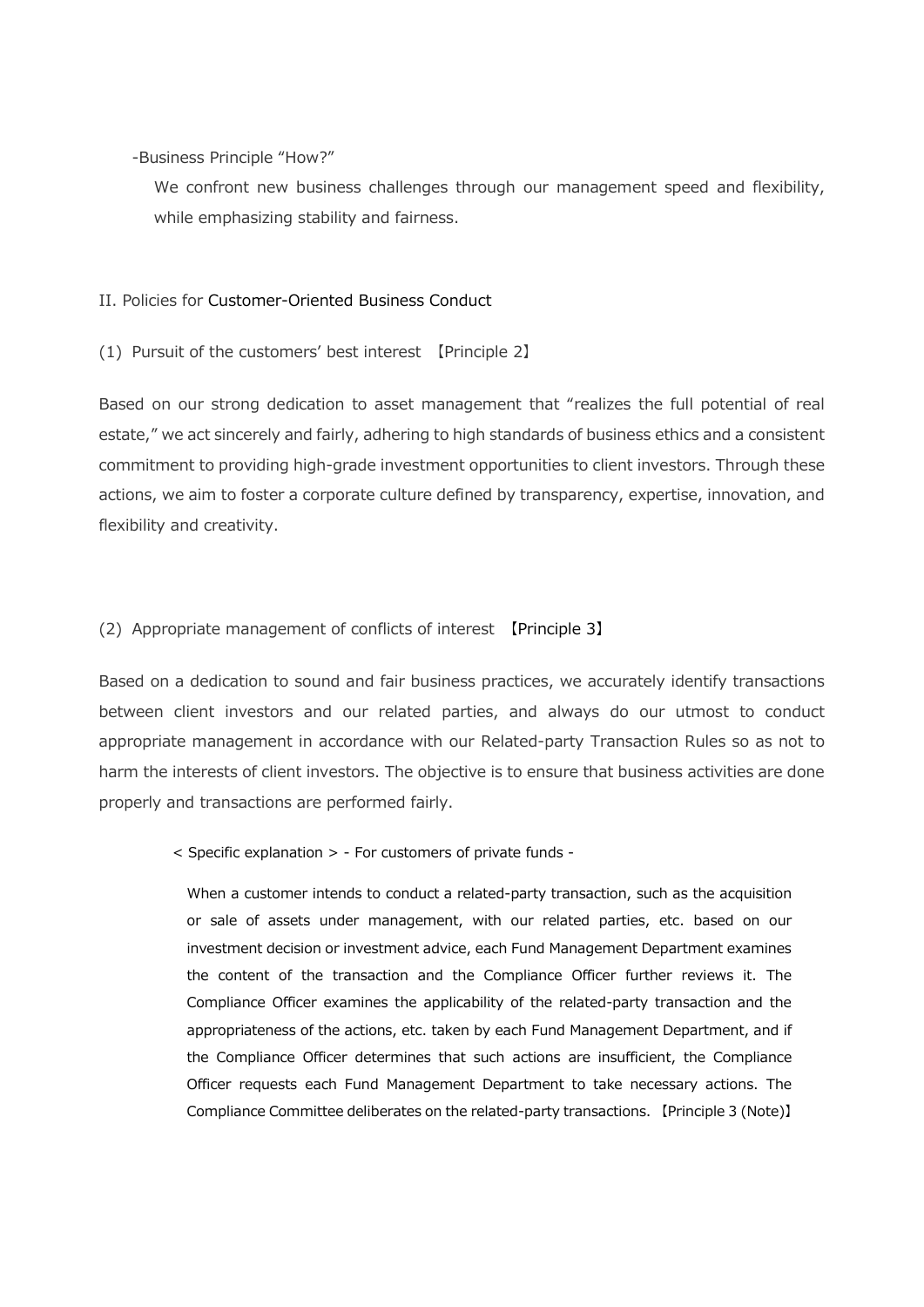-Business Principle "How?"

We confront new business challenges through our management speed and flexibility, while emphasizing stability and fairness.

## II. Policies for Customer-Oriented Business Conduct

(1) Pursuit of the customers' best interest 【Principle 2】

Based on our strong dedication to asset management that "realizes the full potential of real estate," we act sincerely and fairly, adhering to high standards of business ethics and a consistent commitment to providing high-grade investment opportunities to client investors. Through these actions, we aim to foster a corporate culture defined by transparency, expertise, innovation, and flexibility and creativity.

## (2) Appropriate management of conflicts of interest 【Principle 3】

Based on a dedication to sound and fair business practices, we accurately identify transactions between client investors and our related parties, and always do our utmost to conduct appropriate management in accordance with our Related-party Transaction Rules so as not to harm the interests of client investors. The objective is to ensure that business activities are done properly and transactions are performed fairly.

< Specific explanation > - For customers of private funds -

When a customer intends to conduct a related-party transaction, such as the acquisition or sale of assets under management, with our related parties, etc. based on our investment decision or investment advice, each Fund Management Department examines the content of the transaction and the Compliance Officer further reviews it. The Compliance Officer examines the applicability of the related-party transaction and the appropriateness of the actions, etc. taken by each Fund Management Department, and if the Compliance Officer determines that such actions are insufficient, the Compliance Officer requests each Fund Management Department to take necessary actions. The Compliance Committee deliberates on the related-party transactions. 【Principle 3 (Note)】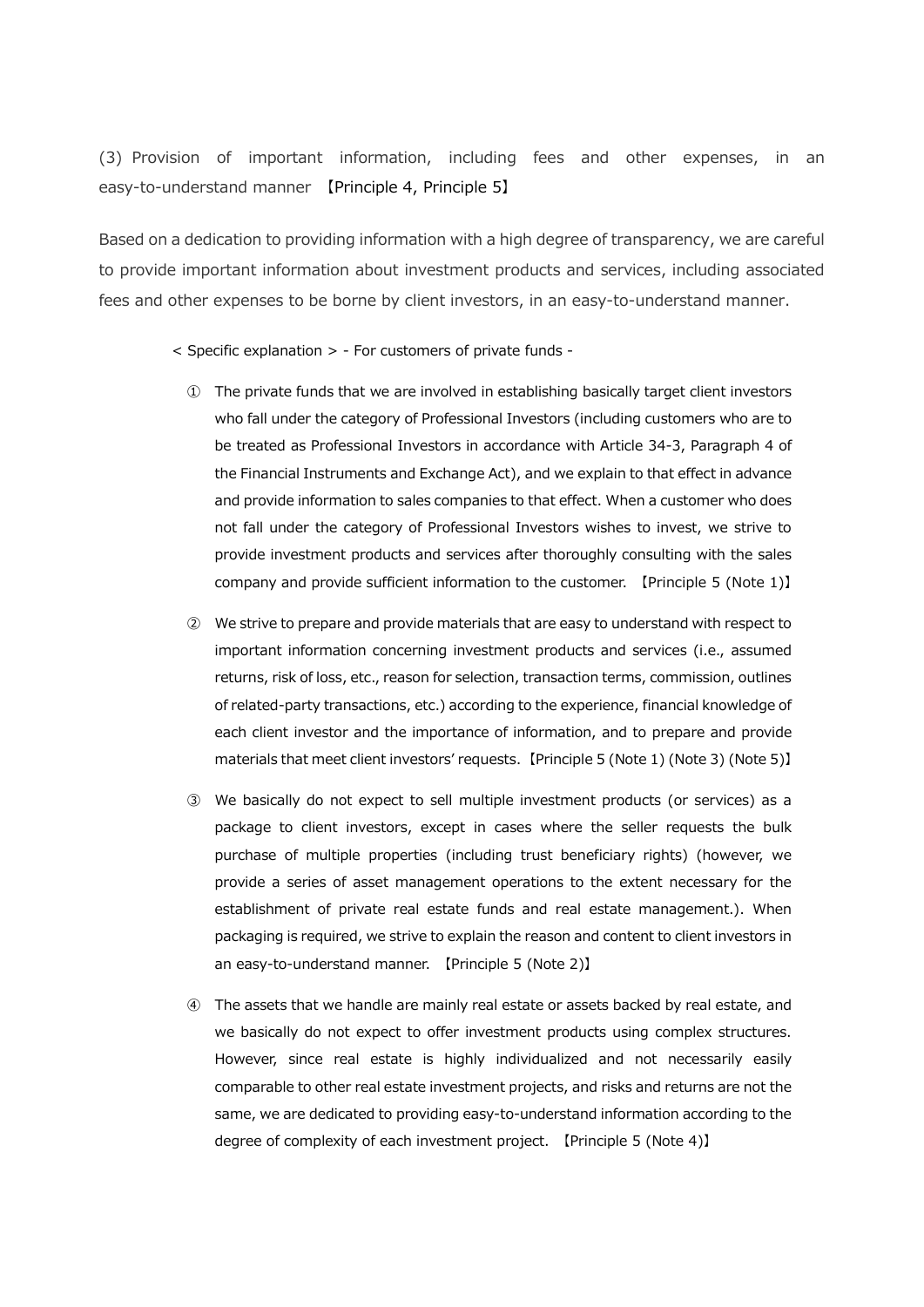(3) Provision of important information, including fees and other expenses, in an easy-to-understand manner 【Principle 4, Principle 5】

Based on a dedication to providing information with a high degree of transparency, we are careful to provide important information about investment products and services, including associated fees and other expenses to be borne by client investors, in an easy-to-understand manner.

- < Specific explanation > For customers of private funds
	- ① The private funds that we are involved in establishing basically target client investors who fall under the category of Professional Investors (including customers who are to be treated as Professional Investors in accordance with Article 34-3, Paragraph 4 of the Financial Instruments and Exchange Act), and we explain to that effect in advance and provide information to sales companies to that effect. When a customer who does not fall under the category of Professional Investors wishes to invest, we strive to provide investment products and services after thoroughly consulting with the sales company and provide sufficient information to the customer. 【Principle 5 (Note 1)】
	- ② We strive to prepare and provide materials that are easy to understand with respect to important information concerning investment products and services (i.e., assumed returns, risk of loss, etc., reason for selection, transaction terms, commission, outlines of related-party transactions, etc.) according to the experience, financial knowledge of each client investor and the importance of information, and to prepare and provide materials that meet client investors' requests. 【Principle 5 (Note 1) (Note 3) (Note 5)】
	- ③ We basically do not expect to sell multiple investment products (or services) as a package to client investors, except in cases where the seller requests the bulk purchase of multiple properties (including trust beneficiary rights) (however, we provide a series of asset management operations to the extent necessary for the establishment of private real estate funds and real estate management.). When packaging is required, we strive to explain the reason and content to client investors in an easy-to-understand manner. 【Principle 5 (Note 2)】
	- ④ The assets that we handle are mainly real estate or assets backed by real estate, and we basically do not expect to offer investment products using complex structures. However, since real estate is highly individualized and not necessarily easily comparable to other real estate investment projects, and risks and returns are not the same, we are dedicated to providing easy-to-understand information according to the degree of complexity of each investment project. 【Principle 5 (Note 4)】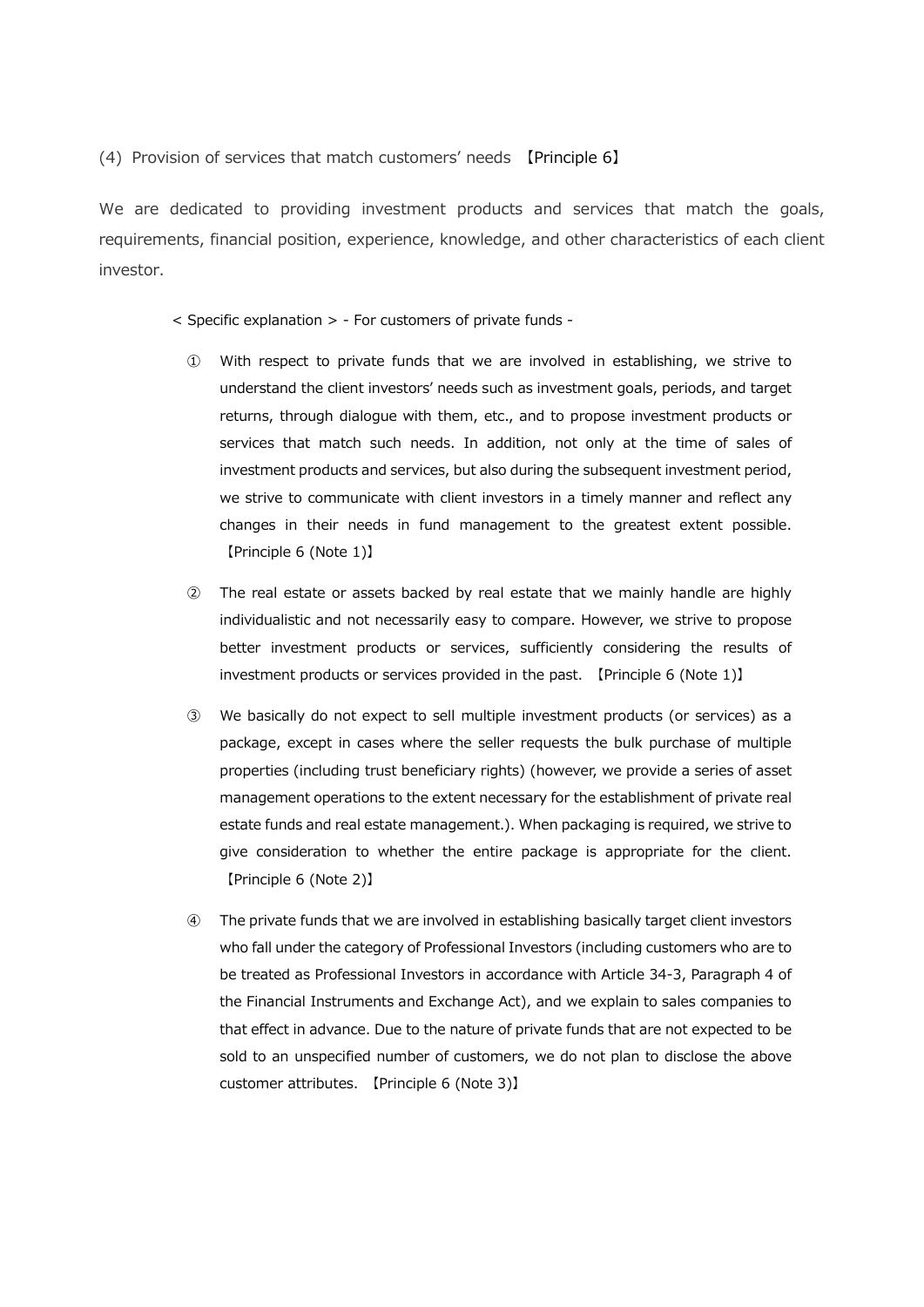(4) Provision of services that match customers' needs 【Principle 6】

We are dedicated to providing investment products and services that match the goals, requirements, financial position, experience, knowledge, and other characteristics of each client investor.

- < Specific explanation > For customers of private funds
	- ① With respect to private funds that we are involved in establishing, we strive to understand the client investors' needs such as investment goals, periods, and target returns, through dialogue with them, etc., and to propose investment products or services that match such needs. In addition, not only at the time of sales of investment products and services, but also during the subsequent investment period, we strive to communicate with client investors in a timely manner and reflect any changes in their needs in fund management to the greatest extent possible. 【Principle 6 (Note 1)】
	- ② The real estate or assets backed by real estate that we mainly handle are highly individualistic and not necessarily easy to compare. However, we strive to propose better investment products or services, sufficiently considering the results of investment products or services provided in the past. 【Principle 6 (Note 1)】
	- ③ We basically do not expect to sell multiple investment products (or services) as a package, except in cases where the seller requests the bulk purchase of multiple properties (including trust beneficiary rights) (however, we provide a series of asset management operations to the extent necessary for the establishment of private real estate funds and real estate management.). When packaging is required, we strive to give consideration to whether the entire package is appropriate for the client. 【Principle 6 (Note 2)】
	- ④ The private funds that we are involved in establishing basically target client investors who fall under the category of Professional Investors (including customers who are to be treated as Professional Investors in accordance with Article 34-3, Paragraph 4 of the Financial Instruments and Exchange Act), and we explain to sales companies to that effect in advance. Due to the nature of private funds that are not expected to be sold to an unspecified number of customers, we do not plan to disclose the above customer attributes. 【Principle 6 (Note 3)】